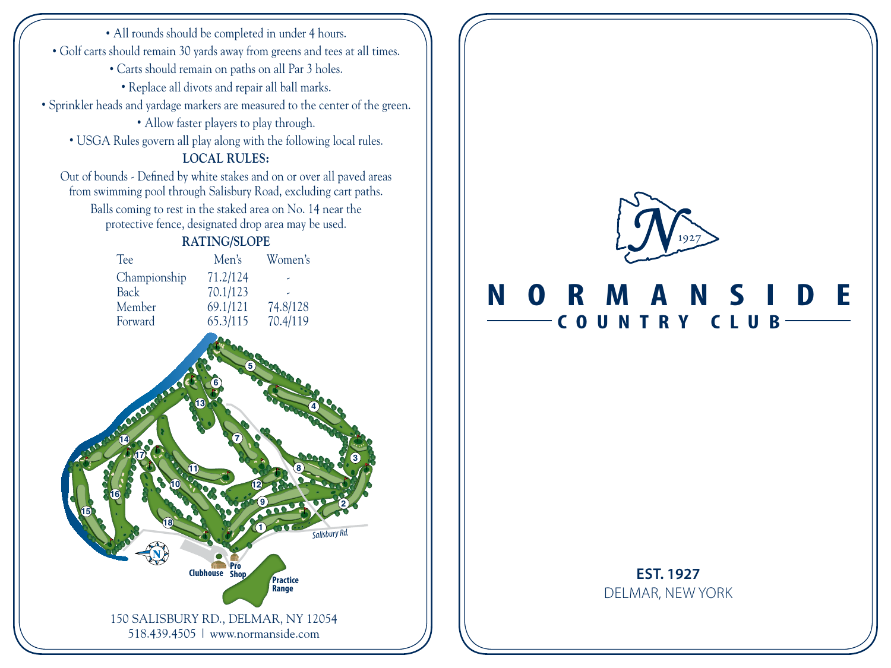150 SALISBURY RD., DELMAR, NY 12054 518.439.4505 | www.normanside.com • All rounds should be completed in under 4 hours. • Golf carts should remain 30 yards away from greens and tees at all times. • Carts should remain on paths on all Par 3 holes. • Replace all divots and repair all ball marks. • Sprinkler heads and yardage markers are measured to the center of the green. • Allow faster players to play through. • USGA Rules govern all play along with the following local rules. **LOCAL RULES:** Out of bounds - Defined by white stakes and on or over all paved areas from swimming pool through Salisbury Road, excluding cart paths. Balls coming to rest in the staked area on No. 14 near the protective fence, designated drop area may be used. **RATING/SLOPE** Tee Men's Women's Championship 71.2/124 Back 70.1/123<br>Member 69.1/121 Member 69.1/121 74.8/128<br>Forward 65.3/115 70.4/119 65.3/115 70.4/119 *Salisbury Rd.* **Clubhouse Pro Practice Range 1 10 2 11 3 12 13 13 13 14 15 15 15 15 5 14 6 15 7 16 8 17 9 18**



## **NORMANSIDE COUNTRY CLUB**

## **EST. 1927** DELMAR, NEW YORK